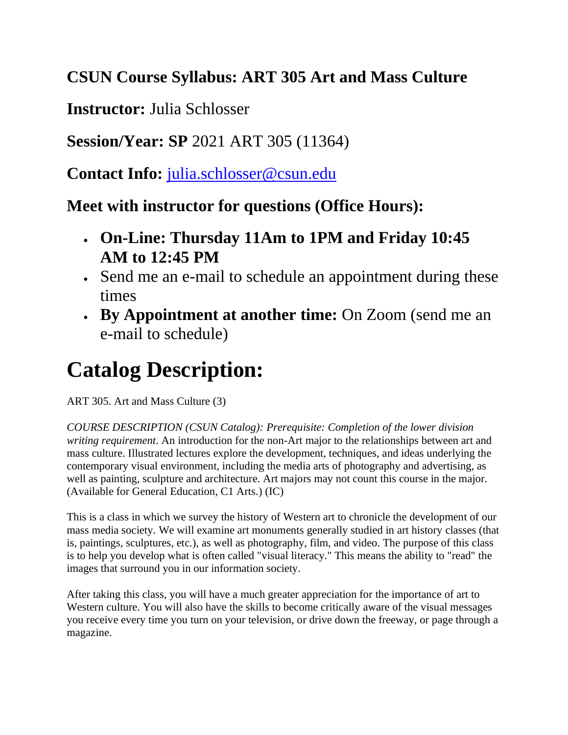# **CSUN Course Syllabus: ART 305 Art and Mass Culture**

**Instructor:** Julia Schlosser

**Session/Year: SP** 2021 ART 305 (11364)

**Contact Info:** [julia.schlosser@csun.edu](mailto:julia.schlosser@csun.edu)

**Meet with instructor for questions (Office Hours):**

- **On-Line: Thursday 11Am to 1PM and Friday 10:45 AM to 12:45 PM**
- Send me an e-mail to schedule an appointment during these times
- **By Appointment at another time:** On Zoom (send me an e-mail to schedule)

# **Catalog Description:**

ART 305. Art and Mass Culture (3)

*COURSE DESCRIPTION (CSUN Catalog): Prerequisite: Completion of the lower division writing requirement*. An introduction for the non-Art major to the relationships between art and mass culture. Illustrated lectures explore the development, techniques, and ideas underlying the contemporary visual environment, including the media arts of photography and advertising, as well as painting, sculpture and architecture. Art majors may not count this course in the major. (Available for General Education, C1 Arts.) (IC)

This is a class in which we survey the history of Western art to chronicle the development of our mass media society. We will examine art monuments generally studied in art history classes (that is, paintings, sculptures, etc.), as well as photography, film, and video. The purpose of this class is to help you develop what is often called "visual literacy." This means the ability to "read" the images that surround you in our information society.

After taking this class, you will have a much greater appreciation for the importance of art to Western culture. You will also have the skills to become critically aware of the visual messages you receive every time you turn on your television, or drive down the freeway, or page through a magazine.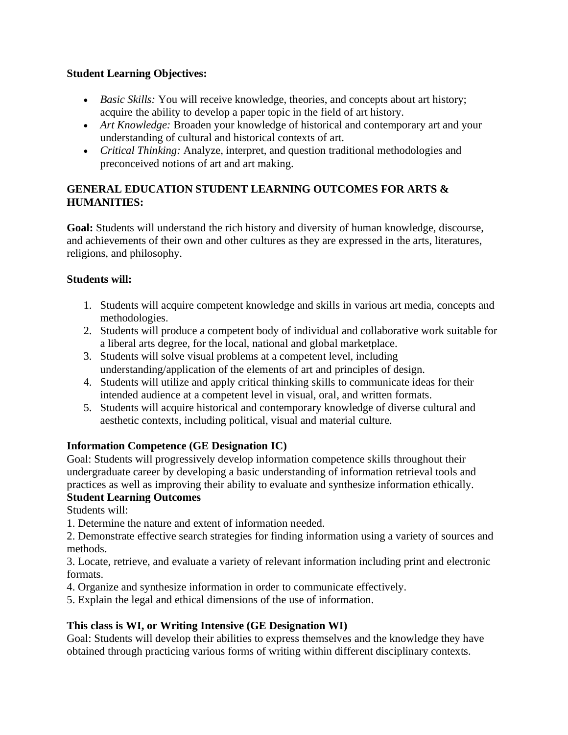#### **Student Learning Objectives:**

- *Basic Skills:* You will receive knowledge, theories, and concepts about art history; acquire the ability to develop a paper topic in the field of art history.
- *Art Knowledge:* Broaden your knowledge of historical and contemporary art and your understanding of cultural and historical contexts of art.
- *Critical Thinking:* Analyze, interpret, and question traditional methodologies and preconceived notions of art and art making.

#### **GENERAL EDUCATION STUDENT LEARNING OUTCOMES FOR ARTS & HUMANITIES:**

**Goal:** Students will understand the rich history and diversity of human knowledge, discourse, and achievements of their own and other cultures as they are expressed in the arts, literatures, religions, and philosophy.

#### **Students will:**

- 1. Students will acquire competent knowledge and skills in various art media, concepts and methodologies.
- 2. Students will produce a competent body of individual and collaborative work suitable for a liberal arts degree, for the local, national and global marketplace.
- 3. Students will solve visual problems at a competent level, including understanding/application of the elements of art and principles of design.
- 4. Students will utilize and apply critical thinking skills to communicate ideas for their intended audience at a competent level in visual, oral, and written formats.
- 5. Students will acquire historical and contemporary knowledge of diverse cultural and aesthetic contexts, including political, visual and material culture.

### **Information Competence (GE Designation IC)**

Goal: Students will progressively develop information competence skills throughout their undergraduate career by developing a basic understanding of information retrieval tools and practices as well as improving their ability to evaluate and synthesize information ethically.

### **Student Learning Outcomes**

Students will:

1. Determine the nature and extent of information needed.

2. Demonstrate effective search strategies for finding information using a variety of sources and methods.

3. Locate, retrieve, and evaluate a variety of relevant information including print and electronic formats.

4. Organize and synthesize information in order to communicate effectively.

5. Explain the legal and ethical dimensions of the use of information.

### **This class is WI, or Writing Intensive (GE Designation WI)**

Goal: Students will develop their abilities to express themselves and the knowledge they have obtained through practicing various forms of writing within different disciplinary contexts.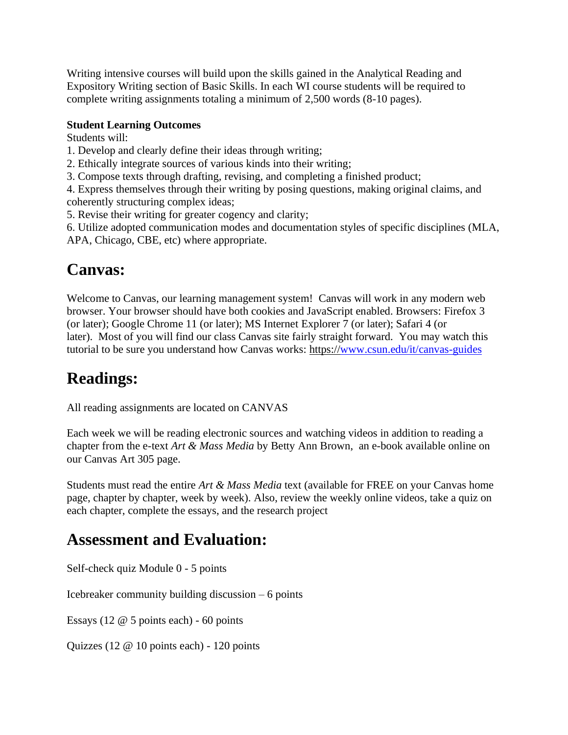Writing intensive courses will build upon the skills gained in the Analytical Reading and Expository Writing section of Basic Skills. In each WI course students will be required to complete writing assignments totaling a minimum of 2,500 words (8-10 pages).

#### **Student Learning Outcomes**

Students will:

- 1. Develop and clearly define their ideas through writing;
- 2. Ethically integrate sources of various kinds into their writing;
- 3. Compose texts through drafting, revising, and completing a finished product;

4. Express themselves through their writing by posing questions, making original claims, and coherently structuring complex ideas;

5. Revise their writing for greater cogency and clarity;

6. Utilize adopted communication modes and documentation styles of specific disciplines (MLA, APA, Chicago, CBE, etc) where appropriate.

### **Canvas:**

Welcome to Canvas, our learning management system! Canvas will work in any modern web browser. Your browser should have both cookies and JavaScript enabled. Browsers: Firefox 3 (or later); Google Chrome 11 (or later); MS Internet Explorer 7 (or later); Safari 4 (or later). Most of you will find our class Canvas site fairly straight forward. You may watch this tutorial to be sure you understand how Canvas works: https:/[/www.csun.edu/it/canvas-guides](http://www.csun.edu/it/canvas-guides)

### **Readings:**

All reading assignments are located on CANVAS

Each week we will be reading electronic sources and watching videos in addition to reading a chapter from the e-text *Art & Mass Media* by Betty Ann Brown, an e-book available online on our Canvas Art 305 page.

Students must read the entire *Art & Mass Media* text (available for FREE on your Canvas home page, chapter by chapter, week by week). Also, review the weekly online videos, take a quiz on each chapter, complete the essays, and the research project

### **Assessment and Evaluation:**

Self-check quiz Module 0 - 5 points

Icebreaker community building discussion – 6 points

Essays (12 @ 5 points each) - 60 points

Quizzes (12 @ 10 points each) - 120 points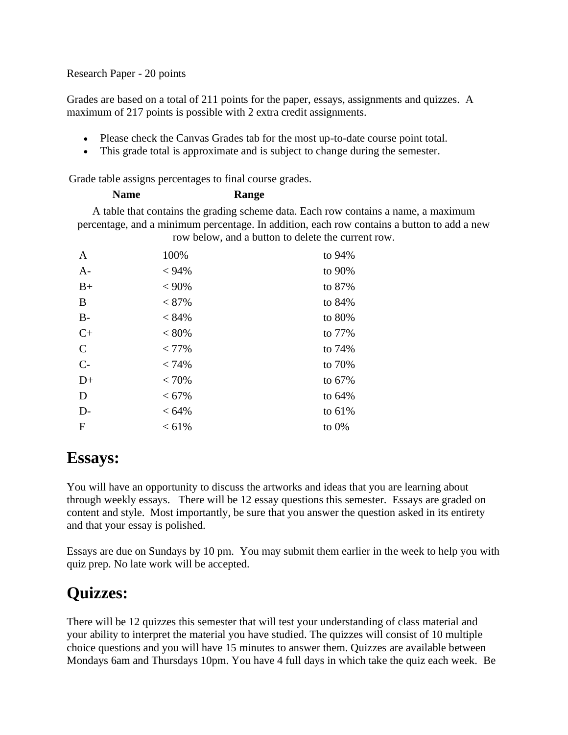#### Research Paper - 20 points

Grades are based on a total of 211 points for the paper, essays, assignments and quizzes. A maximum of 217 points is possible with 2 extra credit assignments.

- Please check the Canvas Grades tab for the most up-to-date course point total.
- This grade total is approximate and is subject to change during the semester.

Grade table assigns percentages to final course grades.

### **Name Range**

A table that contains the grading scheme data. Each row contains a name, a maximum percentage, and a minimum percentage. In addition, each row contains a button to add a new row below, and a button to delete the current row.

| A             | 100%     | to 94%   |
|---------------|----------|----------|
| $A-$          | $< 94\%$ | to 90%   |
| $B+$          | $< 90\%$ | to 87%   |
| B             | $< 87\%$ | to $84%$ |
| $B-$          | < 84%    | to 80%   |
| $C+$          | $< 80\%$ | to 77%   |
| $\mathcal{C}$ | $< 77\%$ | to $74%$ |
| $C-$          | < 74%    | to 70%   |
| $D+$          | < 70%    | to $67%$ |
| D             | $< 67\%$ | to 64%   |
| $D-$          | $< 64\%$ | to 61%   |
| $\mathbf F$   | < 61%    | to $0\%$ |

### **Essays:**

You will have an opportunity to discuss the artworks and ideas that you are learning about through weekly essays. There will be 12 essay questions this semester. Essays are graded on content and style. Most importantly, be sure that you answer the question asked in its entirety and that your essay is polished.

Essays are due on Sundays by 10 pm. You may submit them earlier in the week to help you with quiz prep. No late work will be accepted.

# **Quizzes:**

There will be 12 quizzes this semester that will test your understanding of class material and your ability to interpret the material you have studied. The quizzes will consist of 10 multiple choice questions and you will have 15 minutes to answer them. Quizzes are available between Mondays 6am and Thursdays 10pm. You have 4 full days in which take the quiz each week. Be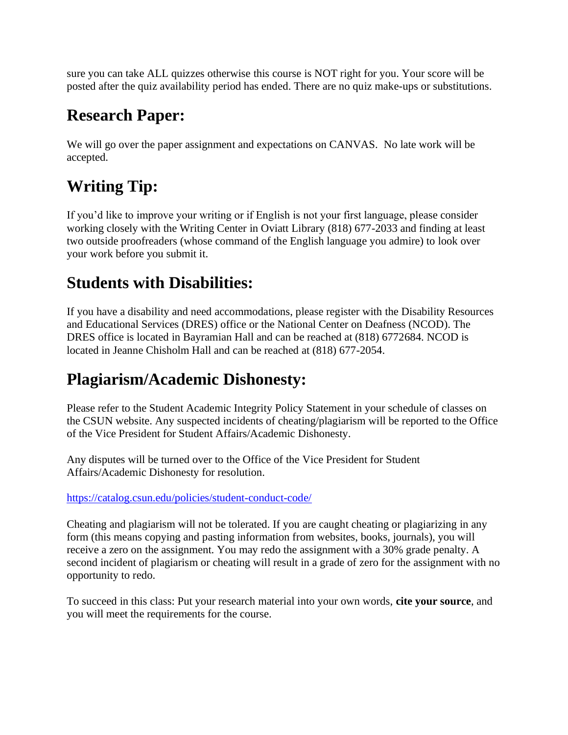sure you can take ALL quizzes otherwise this course is NOT right for you. Your score will be posted after the quiz availability period has ended. There are no quiz make-ups or substitutions.

### **Research Paper:**

We will go over the paper assignment and expectations on CANVAS. No late work will be accepted.

# **Writing Tip:**

If you'd like to improve your writing or if English is not your first language, please consider working closely with the Writing Center in Oviatt Library (818) 677-2033 and finding at least two outside proofreaders (whose command of the English language you admire) to look over your work before you submit it.

### **Students with Disabilities:**

If you have a disability and need accommodations, please register with the Disability Resources and Educational Services (DRES) office or the National Center on Deafness (NCOD). The DRES office is located in Bayramian Hall and can be reached at (818) 6772684. NCOD is located in Jeanne Chisholm Hall and can be reached at (818) 677-2054.

# **Plagiarism/Academic Dishonesty:**

Please refer to the Student Academic Integrity Policy Statement in your schedule of classes on the CSUN website. Any suspected incidents of cheating/plagiarism will be reported to the Office of the Vice President for Student Affairs/Academic Dishonesty.

Any disputes will be turned over to the Office of the Vice President for Student Affairs/Academic Dishonesty for resolution.

#### <https://catalog.csun.edu/policies/student-conduct-code/>

Cheating and plagiarism will not be tolerated. If you are caught cheating or plagiarizing in any form (this means copying and pasting information from websites, books, journals), you will receive a zero on the assignment. You may redo the assignment with a 30% grade penalty. A second incident of plagiarism or cheating will result in a grade of zero for the assignment with no opportunity to redo.

To succeed in this class: Put your research material into your own words, **cite your source**, and you will meet the requirements for the course.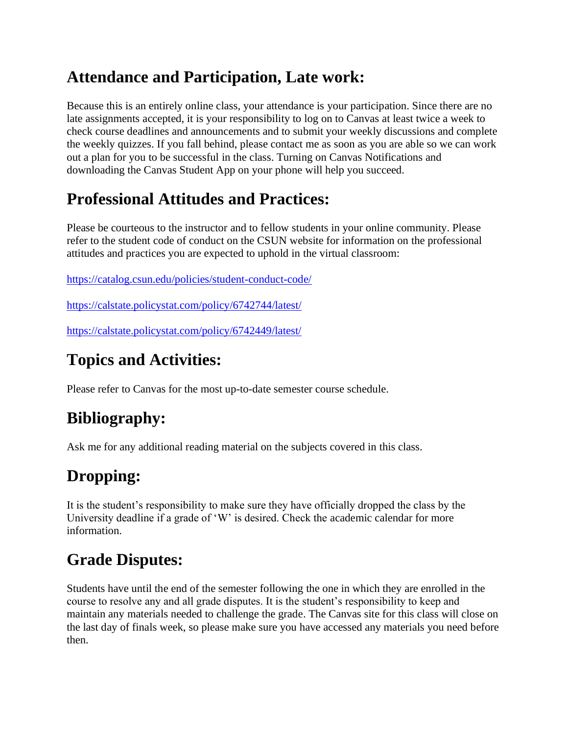# **Attendance and Participation, Late work:**

Because this is an entirely online class, your attendance is your participation. Since there are no late assignments accepted, it is your responsibility to log on to Canvas at least twice a week to check course deadlines and announcements and to submit your weekly discussions and complete the weekly quizzes. If you fall behind, please contact me as soon as you are able so we can work out a plan for you to be successful in the class. Turning on Canvas Notifications and downloading the Canvas Student App on your phone will help you succeed.

# **Professional Attitudes and Practices:**

Please be courteous to the instructor and to fellow students in your online community. Please refer to the student code of conduct on the CSUN website for information on the professional attitudes and practices you are expected to uphold in the virtual classroom:

<https://catalog.csun.edu/policies/student-conduct-code/>

<https://calstate.policystat.com/policy/6742744/latest/>

<https://calstate.policystat.com/policy/6742449/latest/>

# **Topics and Activities:**

Please refer to Canvas for the most up-to-date semester course schedule.

# **Bibliography:**

Ask me for any additional reading material on the subjects covered in this class.

# **Dropping:**

It is the student's responsibility to make sure they have officially dropped the class by the University deadline if a grade of 'W' is desired. Check the academic calendar for more information.

# **Grade Disputes:**

Students have until the end of the semester following the one in which they are enrolled in the course to resolve any and all grade disputes. It is the student's responsibility to keep and maintain any materials needed to challenge the grade. The Canvas site for this class will close on the last day of finals week, so please make sure you have accessed any materials you need before then.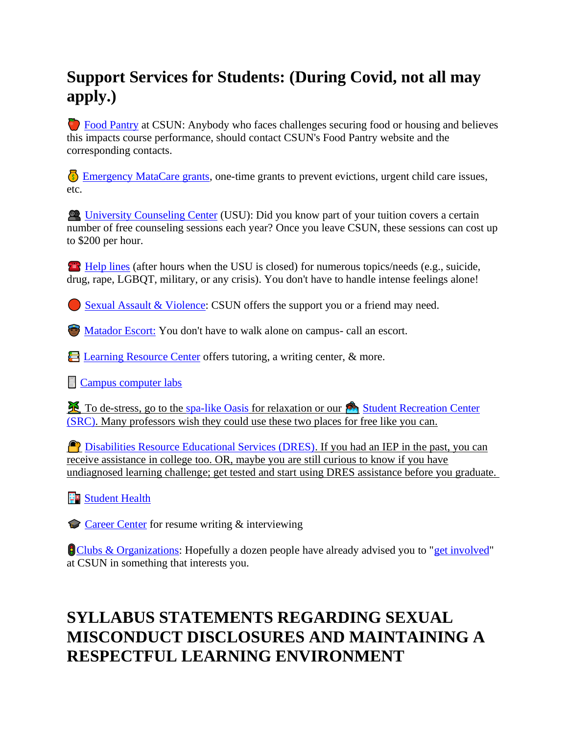# **Support Services for Students: (During Covid, not all may apply.)**

 [Food Pantry](http://www.csun.edu/undergraduate-studies/faculty-development/%20https:/www.csun.edu/mic/csun-food-pantry) at CSUN: Anybody who faces challenges securing food or housing and believes this impacts course performance, should contact CSUN's Food Pantry website and the corresponding contacts.

**[Emergency MataCare grants,](https://www.csun.edu/financialaid/matacare-emergency-grant) one-time grants to prevent evictions, urgent child care issues,** etc.

 [University Counseling Center](http://www.csun.edu/counseling/students) (USU): Did you know part of your tuition covers a certain number of free counseling sessions each year? Once you leave CSUN, these sessions can cost up to \$200 per hour.

**[Help lines](http://www.csun.edu/counseling/urgent-care) (after hours when the USU is closed) for numerous topics/needs (e.g., suicide,** drug, rape, LGBQT, military, or any crisis). You don't have to handle intense feelings alone!

[Sexual Assault & Violence:](http://www.csun.edu/eqd/shine-light) CSUN offers the support you or a friend may need.

**[Matador Escort:](http://www.csun.edu/police/matador-patrol)** You don't have to walk alone on campus- call an escort.

E [Learning Resource Center](http://www.csun.edu/undergraduate-studies/learning-resource-center) offers tutoring, a writing center, & more.

**[Campus computer labs](http://www.csun.edu/it/campus-computer-labs)** 

To de-stress, go to the [spa-like Oasis](http://www.csun.edu/oasis/faqs) for relaxation or our Student Recreation Center [\(SRC\).](http://www.csun.edu/src/) Many professors wish they could use these two places for free like you can.

**P** [Disabilities Resource Educational Services \(DRES\).](http://www.csun.edu/dres) If you had an IEP in the past, you can receive assistance in college too. OR, maybe you are still curious to know if you have undiagnosed learning challenge; get tested and start using DRES assistance before you graduate.

**Fo** [Student Health](http://www.csun.edu/shc)

[Career Center](http://www.csun.edu/career/services) for resume writing & interviewing

**[Clubs & Organizations:](https://www.csun.edu/mic/club-and-organizations-directory)** Hopefully a dozen people have already advised you to ["get involved"](http://www.csun.edu/studentaffairs/students) at CSUN in something that interests you.

# **SYLLABUS STATEMENTS REGARDING SEXUAL MISCONDUCT DISCLOSURES AND MAINTAINING A RESPECTFUL LEARNING ENVIRONMENT**